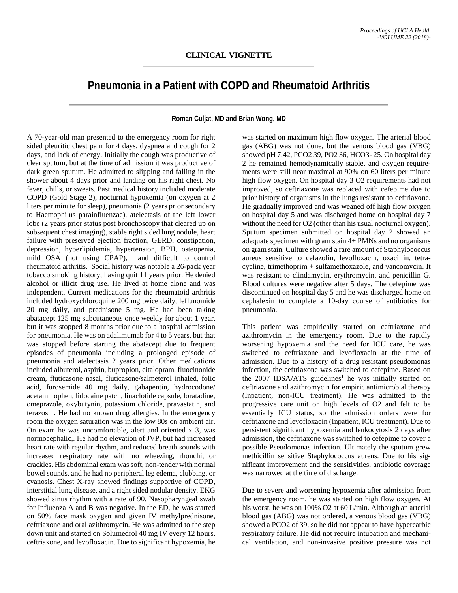## **Pneumonia in a Patient with COPD and Rheumatoid Arthritis**

**Roman Culjat, MD and Brian Wong, MD**

A 70-year-old man presented to the emergency room for right sided pleuritic chest pain for 4 days, dyspnea and cough for 2 days, and lack of energy. Initially the cough was productive of clear sputum, but at the time of admission it was productive of dark green sputum. He admitted to slipping and falling in the shower about 4 days prior and landing on his right chest. No fever, chills, or sweats. Past medical history included moderate COPD (Gold Stage 2), nocturnal hypoxemia (on oxygen at 2 liters per minute for sleep), pneumonia (2 years prior secondary to Haemophilus parainfluenzae), atelectasis of the left lower lobe (2 years prior status post bronchoscopy that cleared up on subsequent chest imaging), stable right sided lung nodule, heart failure with preserved ejection fraction, GERD, constipation, depression, hyperlipidemia, hypertension, BPH, osteopenia, mild OSA (not using CPAP), and difficult to control rheumatoid arthritis. Social history was notable a 26-pack year tobacco smoking history, having quit 11 years prior. He denied alcohol or illicit drug use. He lived at home alone and was independent. Current medications for the rheumatoid arthritis included hydroxychloroquine 200 mg twice daily, leflunomide 20 mg daily, and prednisone 5 mg. He had been taking abatacept 125 mg subcutaneous once weekly for about 1 year, but it was stopped 8 months prior due to a hospital admission for pneumonia. He was on adalimumab for 4 to 5 years, but that was stopped before starting the abatacept due to frequent episodes of pneumonia including a prolonged episode of pneumonia and atelectasis 2 years prior. Other medications included albuterol, aspirin, bupropion, citalopram, fluocinonide cream, fluticasone nasal, fluticasone/salmeterol inhaled, folic acid, furosemide 40 mg daily, gabapentin, hydrocodone/ acetaminophen, lidocaine patch, linaclotide capsule, loratadine, omeprazole, oxybutynin, potassium chloride, pravastatin, and terazosin. He had no known drug allergies. In the emergency room the oxygen saturation was in the low 80s on ambient air. On exam he was uncomfortable, alert and oriented x 3, was normocephalic,. He had no elevation of JVP, but had increased heart rate with regular rhythm, and reduced breath sounds with increased respiratory rate with no wheezing, rhonchi, or crackles. His abdominal exam was soft, non-tender with normal bowel sounds, and he had no peripheral leg edema, clubbing, or cyanosis. Chest X-ray showed findings supportive of COPD, interstitial lung disease, and a right sided nodular density. EKG showed sinus rhythm with a rate of 90. Nasopharyngeal swab for Influenza A and B was negative. In the ED, he was started on 50% face mask oxygen and given IV methylprednisone, ceftriaxone and oral azithromycin. He was admitted to the step down unit and started on Solumedrol 40 mg IV every 12 hours, ceftriaxone, and levofloxacin. Due to significant hypoxemia, he

was started on maximum high flow oxygen. The arterial blood gas (ABG) was not done, but the venous blood gas (VBG) showed pH 7.42, PCO2 39, PO2 36, HCO3- 25. On hospital day 2 he remained hemodynamically stable, and oxygen requirements were still near maximal at 90% on 60 liters per minute high flow oxygen. On hospital day 3 O2 requirements had not improved, so ceftriaxone was replaced with cefepime due to prior history of organisms in the lungs resistant to ceftriaxone. He gradually improved and was weaned off high flow oxygen on hospital day 5 and was discharged home on hospital day 7 without the need for O2 (other than his usual nocturnal oxygen). Sputum specimen submitted on hospital day 2 showed an adequate specimen with gram stain 4+ PMNs and no organisms on gram stain. Culture showed a rare amount of Staphylococcus aureus sensitive to cefazolin, levofloxacin, oxacillin, tetracycline, trimethoprim + sulfamethoxazole, and vancomycin. It was resistant to clindamycin, erythromycin, and penicillin G. Blood cultures were negative after 5 days. The cefepime was discontinued on hospital day 5 and he was discharged home on cephalexin to complete a 10-day course of antibiotics for pneumonia.

This patient was empirically started on ceftriaxone and azithromycin in the emergency room. Due to the rapidly worsening hypoxemia and the need for ICU care, he was switched to ceftriaxone and levofloxacin at the time of admission. Due to a history of a drug resistant pseudomonas infection, the ceftriaxone was switched to cefepime. Based on the  $2007$  IDSA/ATS guidelines<sup>1</sup> he was initially started on ceftriaxone and azithromycin for empiric antimicrobial therapy (Inpatient, non-ICU treatment). He was admitted to the progressive care unit on high levels of O2 and felt to be essentially ICU status, so the admission orders were for ceftriaxone and levofloxacin (Inpatient, ICU treatment). Due to persistent significant hypoxemia and leukocytosis 2 days after admission, the ceftriaxone was switched to cefepime to cover a possible Pseudomonas infection. Ultimately the sputum grew methicillin sensitive Staphylococcus aureus. Due to his significant improvement and the sensitivities, antibiotic coverage was narrowed at the time of discharge.

Due to severe and worsening hypoxemia after admission from the emergency room, he was started on high flow oxygen. At his worst, he was on 100% O2 at 60 L/min. Although an arterial blood gas (ABG) was not ordered, a venous blood gas (VBG) showed a PCO2 of 39, so he did not appear to have hypercarbic respiratory failure. He did not require intubation and mechanical ventilation, and non-invasive positive pressure was not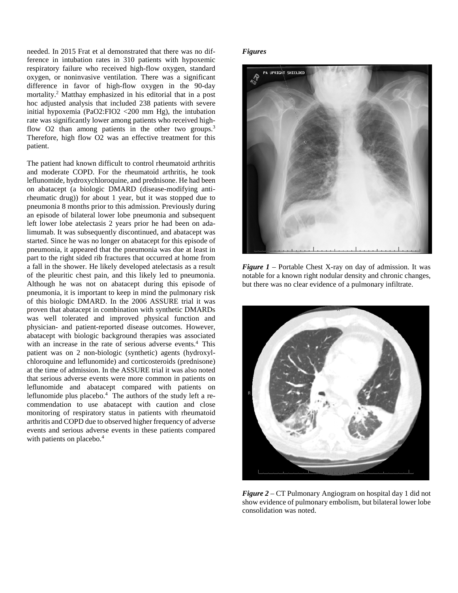needed. In 2015 Frat et al demonstrated that there was no difference in intubation rates in 310 patients with hypoxemic respiratory failure who received high-flow oxygen, standard oxygen, or noninvasive ventilation. There was a significant difference in favor of high-flow oxygen in the 90-day mortality.2 Matthay emphasized in his editorial that in a post hoc adjusted analysis that included 238 patients with severe initial hypoxemia (PaO2:FIO2 <200 mm Hg), the intubation rate was significantly lower among patients who received highflow O2 than among patients in the other two groups.<sup>3</sup> Therefore, high flow O2 was an effective treatment for this patient.

The patient had known difficult to control rheumatoid arthritis and moderate COPD. For the rheumatoid arthritis, he took leflunomide, hydroxychloroquine, and prednisone. He had been on abatacept (a biologic DMARD (disease-modifying antirheumatic drug)) for about 1 year, but it was stopped due to pneumonia 8 months prior to this admission. Previously during an episode of bilateral lower lobe pneumonia and subsequent left lower lobe atelectasis 2 years prior he had been on adalimumab. It was subsequently discontinued, and abatacept was started. Since he was no longer on abatacept for this episode of pneumonia, it appeared that the pneumonia was due at least in part to the right sided rib fractures that occurred at home from a fall in the shower. He likely developed atelectasis as a result of the pleuritic chest pain, and this likely led to pneumonia. Although he was not on abatacept during this episode of pneumonia, it is important to keep in mind the pulmonary risk of this biologic DMARD. In the 2006 ASSURE trial it was proven that abatacept in combination with synthetic DMARDs was well tolerated and improved physical function and physician- and patient-reported disease outcomes. However, abatacept with biologic background therapies was associated with an increase in the rate of serious adverse events.<sup>4</sup> This patient was on 2 non-biologic (synthetic) agents (hydroxylchloroquine and leflunomide) and corticosteroids (prednisone) at the time of admission. In the ASSURE trial it was also noted that serious adverse events were more common in patients on leflunomide and abatacept compared with patients on leflunomide plus placebo.<sup>4</sup> The authors of the study left a recommendation to use abatacept with caution and close monitoring of respiratory status in patients with rheumatoid arthritis and COPD due to observed higher frequency of adverse events and serious adverse events in these patients compared with patients on placebo.<sup>4</sup>

## *Figures*



*Figure 1* – Portable Chest X-ray on day of admission. It was notable for a known right nodular density and chronic changes, but there was no clear evidence of a pulmonary infiltrate.



*Figure 2* – CT Pulmonary Angiogram on hospital day 1 did not show evidence of pulmonary embolism, but bilateral lower lobe consolidation was noted.